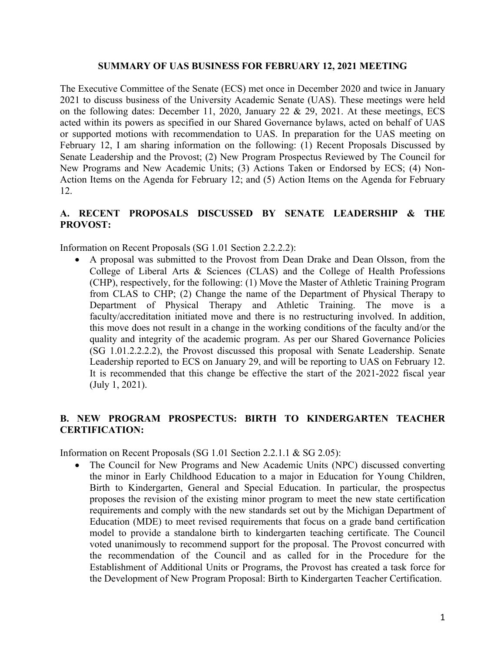#### **SUMMARY OF UAS BUSINESS FOR FEBRUARY 12, 2021 MEETING**

The Executive Committee of the Senate (ECS) met once in December 2020 and twice in January 2021 to discuss business of the University Academic Senate (UAS). These meetings were held on the following dates: December 11, 2020, January 22 & 29, 2021. At these meetings, ECS acted within its powers as specified in our Shared Governance bylaws, acted on behalf of UAS or supported motions with recommendation to UAS. In preparation for the UAS meeting on February 12, I am sharing information on the following: (1) Recent Proposals Discussed by Senate Leadership and the Provost; (2) New Program Prospectus Reviewed by The Council for New Programs and New Academic Units; (3) Actions Taken or Endorsed by ECS; (4) Non-Action Items on the Agenda for February 12; and (5) Action Items on the Agenda for February 12.

### **A. RECENT PROPOSALS DISCUSSED BY SENATE LEADERSHIP & THE PROVOST:**

Information on Recent Proposals (SG 1.01 Section 2.2.2.2):

• A proposal was submitted to the Provost from Dean Drake and Dean Olsson, from the College of Liberal Arts & Sciences (CLAS) and the College of Health Professions (CHP), respectively, for the following: (1) Move the Master of Athletic Training Program from CLAS to CHP; (2) Change the name of the Department of Physical Therapy to Department of Physical Therapy and Athletic Training. The move is a faculty/accreditation initiated move and there is no restructuring involved. In addition, this move does not result in a change in the working conditions of the faculty and/or the quality and integrity of the academic program. As per our Shared Governance Policies (SG 1.01.2.2.2.2), the Provost discussed this proposal with Senate Leadership. Senate Leadership reported to ECS on January 29, and will be reporting to UAS on February 12. It is recommended that this change be effective the start of the 2021-2022 fiscal year (July 1, 2021).

### **B. NEW PROGRAM PROSPECTUS: BIRTH TO KINDERGARTEN TEACHER CERTIFICATION:**

Information on Recent Proposals (SG 1.01 Section 2.2.1.1 & SG 2.05):

• The Council for New Programs and New Academic Units (NPC) discussed converting the minor in Early Childhood Education to a major in Education for Young Children, Birth to Kindergarten, General and Special Education. In particular, the prospectus proposes the revision of the existing minor program to meet the new state certification requirements and comply with the new standards set out by the Michigan Department of Education (MDE) to meet revised requirements that focus on a grade band certification model to provide a standalone birth to kindergarten teaching certificate. The Council voted unanimously to recommend support for the proposal. The Provost concurred with the recommendation of the Council and as called for in the Procedure for the Establishment of Additional Units or Programs, the Provost has created a task force for the Development of New Program Proposal: Birth to Kindergarten Teacher Certification.